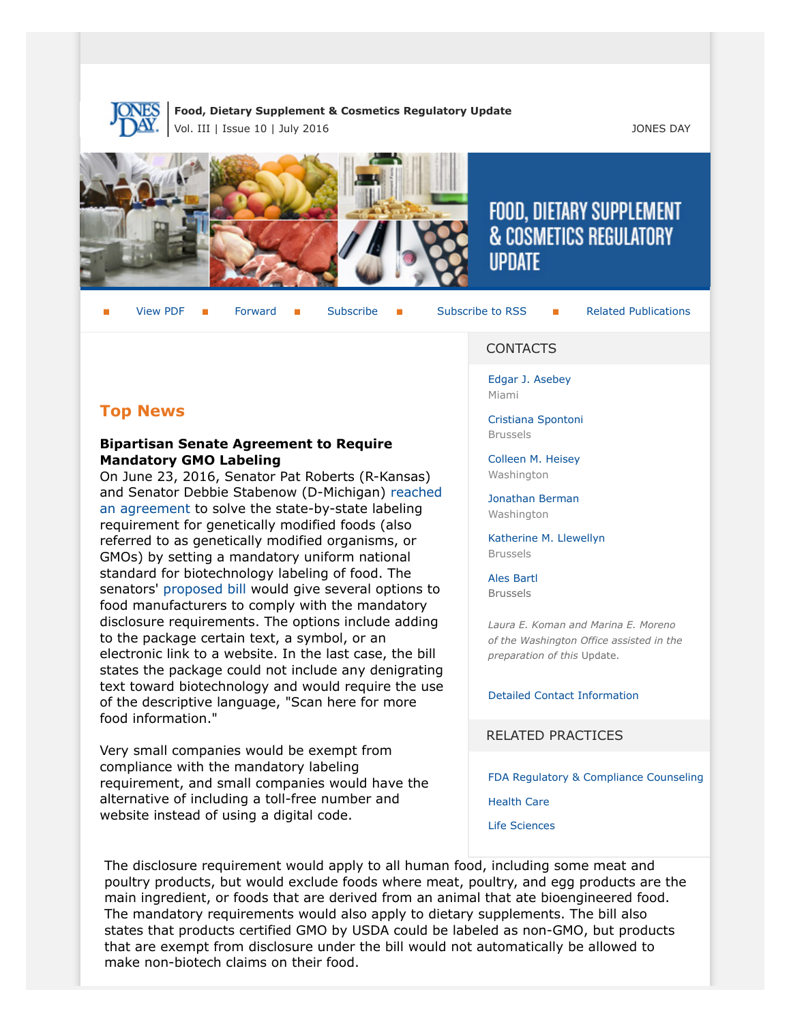

**Food, Dietary Supplement & Cosmetics Regulatory Update** Vol. III | Issue 10 | July 2016 **JONES DAY** 



# FOOD, DIETARY SUPPLEMENT & COSMETICS REGULATORY **UPDATE**

View PDF **[Forward](http://thewritestuff.jonesday.com/cff/468cb859100c08585eef2c2ccc7164d6aee77a83/) Forward [Subscribe](http://www.jonesday.com/newsknowledge/publications.aspx) Gubscribe to RSS** [Related Publications](http://www.jonesday.com/experiencepractices/servicedetail.aspx?serviceid=593cb647-a5c4-49c3-9086-fedc34b24e1d§ion=Publications)

# **Top News**

#### **Bipartisan Senate Agreement to Require Mandatory GMO Labeling**

On June 23, 2016, Senator Pat Roberts (R-Kansas) and Senator Debbie Stabenow (D-Michigan) [reached](http://www.agri-pulse.com/Roberts-Stabenow-reach-deal-on-GMO-labeling-06232016.asp) [an agreement](http://www.agri-pulse.com/Roberts-Stabenow-reach-deal-on-GMO-labeling-06232016.asp) to solve the state-by-state labeling requirement for genetically modified foods (also referred to as genetically modified organisms, or GMOs) by setting a mandatory uniform national standard for biotechnology labeling of food. The senators' [proposed bill](http://www.agri-pulse.com/uploaded/GMObill.pdf) would give several options to food manufacturers to comply with the mandatory disclosure requirements. The options include adding to the package certain text, a symbol, or an electronic link to a website. In the last case, the bill states the package could not include any denigrating text toward biotechnology and would require the use of the descriptive language, "Scan here for more food information."

Very small companies would be exempt from compliance with the mandatory labeling requirement, and small companies would have the alternative of including a toll-free number and website instead of using a digital code.

#### CONTACTS

[Edgar J. Asebey](http://www.jonesday.com/easebey) Miami

[Cristiana Spontoni](http://www.jonesday.com/cspontoni) Brussels

[Colleen M. Heisey](http://www.jonesday.com/cmheisey) **Washington** 

[Jonathan Berman](http://www.jonesday.com/jberman) Washington

[Katherine M. Llewellyn](http://www.jonesday.com/kllewellyn) Brussels

[Ales Bartl](http://www.jonesday.com/abartl/) Brussels

*Laura E. Koman and Marina E. Moreno of the Washington Office assisted in the preparation of this* Update.

[Detailed Contact Information](#page-7-0)

RELATED PRACTICES

[FDA Regulatory & Compliance Counseling](http://www.jonesday.com/fdaregulatoryandcompliancecounseling/)

[Health Care](http://www.jonesday.com/Health-Care-Practices)

[Life Sciences](http://www.jonesday.com/lifesciences/)

The disclosure requirement would apply to all human food, including some meat and poultry products, but would exclude foods where meat, poultry, and egg products are the main ingredient, or foods that are derived from an animal that ate bioengineered food. The mandatory requirements would also apply to dietary supplements. The bill also states that products certified GMO by USDA could be labeled as non-GMO, but products that are exempt from disclosure under the bill would not automatically be allowed to make non-biotech claims on their food.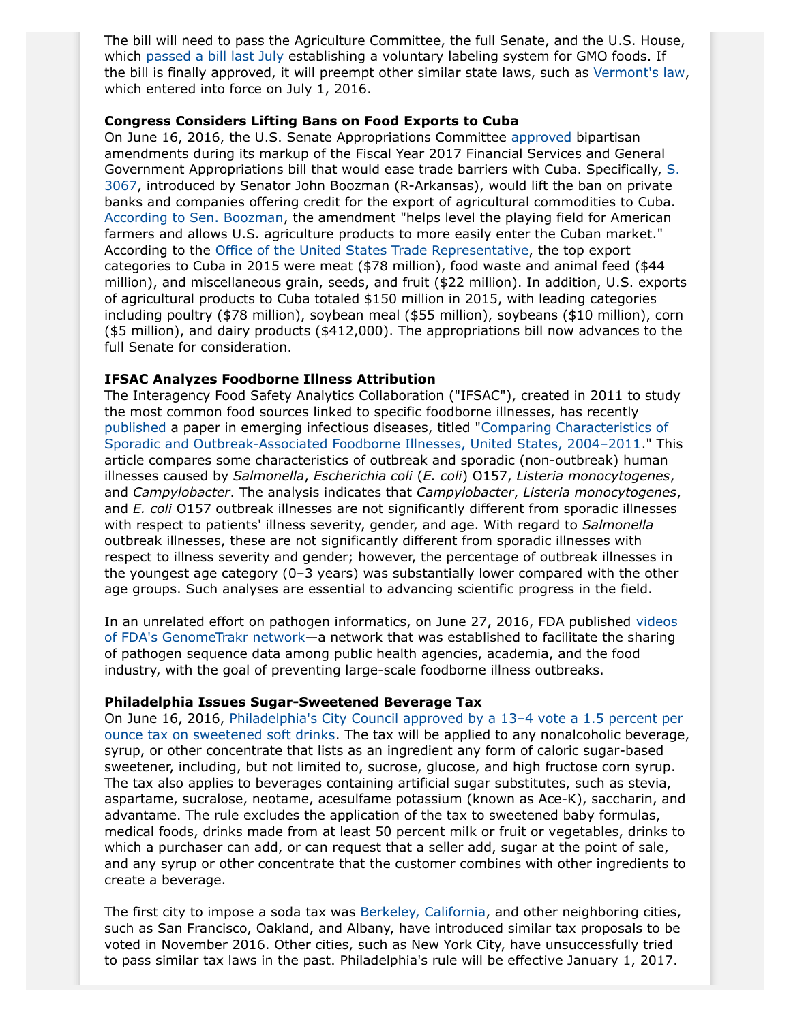The bill will need to pass the Agriculture Committee, the full Senate, and the U.S. House, which [passed a bill last July](https://www.congress.gov/bill/114th-congress/house-bill/1599/cosponsors) establishing a voluntary labeling system for GMO foods. If the bill is finally approved, it will preempt other similar state laws, such as [Vermont's law](http://www.leg.state.vt.us/docs/2014/Acts/ACT120.pdf), which entered into force on July 1, 2016.

#### **Congress Considers Lifting Bans on Food Exports to Cuba**

On June 16, 2016, the U.S. Senate Appropriations Committee [approved](http://www.usatoday.com/story/travel/flights/2016/06/17/senate-panel-votes-ease-cuba-travel/86040094/) bipartisan amendments during its markup of the Fiscal Year 2017 Financial Services and General Government Appropriations bill that would ease trade barriers with Cuba. Specifically, [S.](https://www.congress.gov/114/bills/s3067/BILLS-114s3067pcs.pdf) [3067](https://www.congress.gov/114/bills/s3067/BILLS-114s3067pcs.pdf), introduced by Senator John Boozman (R-Arkansas), would lift the ban on private banks and companies offering credit for the export of agricultural commodities to Cuba. [According to Sen. Boozman,](https://www.boozman.senate.gov/public/index.cfm/press-releases?ID=8800188F-0E30-4F65-857C-F84D5C7CDB56) the amendment "helps level the playing field for American farmers and allows U.S. agriculture products to more easily enter the Cuban market." According to the [Office of the United States Trade Representative](https://ustr.gov/countries-regions/americas/cuba), the top export categories to Cuba in 2015 were meat (\$78 million), food waste and animal feed (\$44 million), and miscellaneous grain, seeds, and fruit (\$22 million). In addition, U.S. exports of agricultural products to Cuba totaled \$150 million in 2015, with leading categories including poultry (\$78 million), soybean meal (\$55 million), soybeans (\$10 million), corn (\$5 million), and dairy products (\$412,000). The appropriations bill now advances to the full Senate for consideration.

#### **IFSAC Analyzes Foodborne Illness Attribution**

The Interagency Food Safety Analytics Collaboration ("IFSAC"), created in 2011 to study the most common food sources linked to specific foodborne illnesses, has recently [published](http://www.fda.gov/Food/NewsEvents/ConstituentUpdates/ucm506328.htm) a paper in emerging infectious diseases, titled "[Comparing Characteristics of](http://wwwnc.cdc.gov/eid/article/22/7/15-0833_article) [Sporadic and Outbreak-Associated Foodborne Illnesses, United States, 2004–2011.](http://wwwnc.cdc.gov/eid/article/22/7/15-0833_article)" This article compares some characteristics of outbreak and sporadic (non-outbreak) human illnesses caused by *Salmonella*, *Escherichia coli* (*E. coli*) O157, *Listeria monocytogenes*, and *Campylobacter*. The analysis indicates that *Campylobacter*, *Listeria monocytogenes*, and *E. coli* O157 outbreak illnesses are not significantly different from sporadic illnesses with respect to patients' illness severity, gender, and age. With regard to *Salmonella* outbreak illnesses, these are not significantly different from sporadic illnesses with respect to illness severity and gender; however, the percentage of outbreak illnesses in the youngest age category (0–3 years) was substantially lower compared with the other age groups. Such analyses are essential to advancing scientific progress in the field.

In an unrelated effort on pathogen informatics, on June 27, 2016, FDA published [videos](http://www.fda.gov/Food/FoodScienceResearch/WholeGenomeSequencingProgramWGS/ucm422080.htm) [of FDA's GenomeTrakr network](http://www.fda.gov/Food/FoodScienceResearch/WholeGenomeSequencingProgramWGS/ucm422080.htm)—a network that was established to facilitate the sharing of pathogen sequence data among public health agencies, academia, and the food industry, with the goal of preventing large-scale foodborne illness outbreaks.

#### **Philadelphia Issues Sugar-Sweetened Beverage Tax**

On June 16, 2016, [Philadelphia's City Council approved by a 13–4 vote a 1.5 percent per](https://phila.legistar.com/LegislationDetail.aspx?ID=2595907&GUID=36060B21-D7EE-4D50-93E7-8D2109D47ED1&Options=ID%7CText%7C&Search=sugar+sweetened&FullText=1) [ounce tax on sweetened soft drinks.](https://phila.legistar.com/LegislationDetail.aspx?ID=2595907&GUID=36060B21-D7EE-4D50-93E7-8D2109D47ED1&Options=ID%7CText%7C&Search=sugar+sweetened&FullText=1) The tax will be applied to any nonalcoholic beverage, syrup, or other concentrate that lists as an ingredient any form of caloric sugar-based sweetener, including, but not limited to, sucrose, glucose, and high fructose corn syrup. The tax also applies to beverages containing artificial sugar substitutes, such as stevia, aspartame, sucralose, neotame, acesulfame potassium (known as Ace-K), saccharin, and advantame. The rule excludes the application of the tax to sweetened baby formulas, medical foods, drinks made from at least 50 percent milk or fruit or vegetables, drinks to which a purchaser can add, or can request that a seller add, sugar at the point of sale, and any syrup or other concentrate that the customer combines with other ingredients to create a beverage.

The first city to impose a soda tax was [Berkeley, California](http://www.npr.org/sections/thesalt/2015/10/08/446924653/berkeleys-sugary-drinks-are-getting-pricier-thanks-to-new-tax), and other neighboring cities, such as San Francisco, Oakland, and Albany, have introduced similar tax proposals to be voted in November 2016. Other cities, such as New York City, have unsuccessfully tried to pass similar tax laws in the past. Philadelphia's rule will be effective January 1, 2017.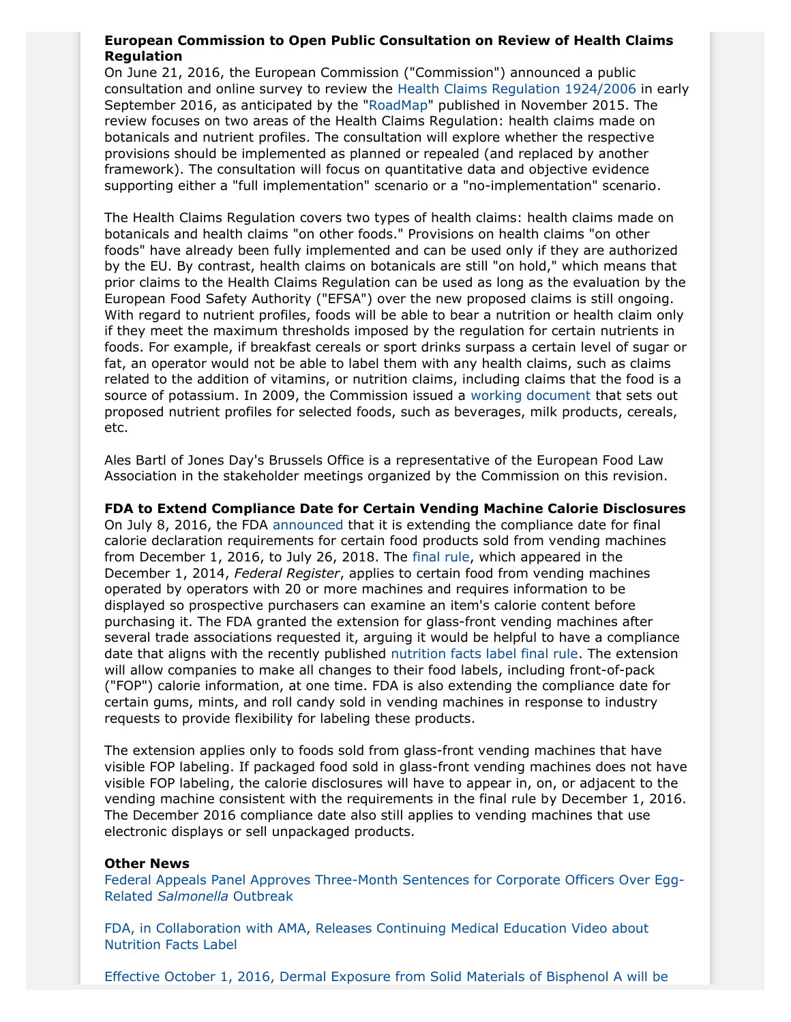#### **European Commission to Open Public Consultation on Review of Health Claims Regulation**

On June 21, 2016, the European Commission ("Commission") announced a public consultation and online survey to review the [Health Claims Regulation 1924/2006](http://eur-lex.europa.eu/legal-content/EN/ALL/?uri=CELEX%3A02006R1924-20121129) in early September 2016, as anticipated by the "[RoadMap](http://ec.europa.eu/smart-regulation/roadmaps/docs/2015_sante_595_evaluation_health_claims_en.pdf)" published in November 2015. The review focuses on two areas of the Health Claims Regulation: health claims made on botanicals and nutrient profiles. The consultation will explore whether the respective provisions should be implemented as planned or repealed (and replaced by another framework). The consultation will focus on quantitative data and objective evidence supporting either a "full implementation" scenario or a "no-implementation" scenario.

The Health Claims Regulation covers two types of health claims: health claims made on botanicals and health claims "on other foods." Provisions on health claims "on other foods" have already been fully implemented and can be used only if they are authorized by the EU. By contrast, health claims on botanicals are still "on hold," which means that prior claims to the Health Claims Regulation can be used as long as the evaluation by the European Food Safety Authority ("EFSA") over the new proposed claims is still ongoing. With regard to nutrient profiles, foods will be able to bear a nutrition or health claim only if they meet the maximum thresholds imposed by the regulation for certain nutrients in foods. For example, if breakfast cereals or sport drinks surpass a certain level of sugar or fat, an operator would not be able to label them with any health claims, such as claims related to the addition of vitamins, or nutrition claims, including claims that the food is a source of potassium. In 2009, the Commission issued a [working document](https://www.senat.fr/europe/textes_europeens/a0006.pdf) that sets out proposed nutrient profiles for selected foods, such as beverages, milk products, cereals, etc.

Ales Bartl of Jones Day's Brussels Office is a representative of the European Food Law Association in the stakeholder meetings organized by the Commission on this revision.

**FDA to Extend Compliance Date for Certain Vending Machine Calorie Disclosures** On July 8, 2016, the FDA [announced](http://www.fda.gov/Food/NewsEvents/ConstituentUpdates/ucm510071.htm) that it is extending the compliance date for final calorie declaration requirements for certain food products sold from vending machines from December 1, 2016, to July 26, 2018. The [final rule,](https://www.gpo.gov/fdsys/pkg/FR-2014-12-01/pdf/2014-27834.pdf) which appeared in the December 1, 2014, *Federal Register*, applies to certain food from vending machines operated by operators with 20 or more machines and requires information to be displayed so prospective purchasers can examine an item's calorie content before purchasing it. The FDA granted the extension for glass-front vending machines after several trade associations requested it, arguing it would be helpful to have a compliance date that aligns with the recently published [nutrition facts label final rule.](https://www.gpo.gov/fdsys/pkg/FR-2016-05-27/pdf/2016-11867.pdf) The extension will allow companies to make all changes to their food labels, including front-of-pack ("FOP") calorie information, at one time. FDA is also extending the compliance date for certain gums, mints, and roll candy sold in vending machines in response to industry requests to provide flexibility for labeling these products.

The extension applies only to foods sold from glass-front vending machines that have visible FOP labeling. If packaged food sold in glass-front vending machines does not have visible FOP labeling, the calorie disclosures will have to appear in, on, or adjacent to the vending machine consistent with the requirements in the final rule by December 1, 2016. The December 2016 compliance date also still applies to vending machines that use electronic displays or sell unpackaged products.

#### **Other News**

[Federal Appeals Panel Approves Three-Month Sentences for Corporate Officers Over Egg-](http://www.foodsafetynews.com/2016/07/8th-circuit-approves-jail-sentences-for-egg-men-in-2-1-ruling/#.V35mhIUrJpg)Related *[Salmonella](http://www.foodsafetynews.com/2016/07/8th-circuit-approves-jail-sentences-for-egg-men-in-2-1-ruling/#.V35mhIUrJpg)* Outbreak

[FDA, in Collaboration with AMA, Releases Continuing Medical Education Video about](http://www.fda.gov/Food/NewsEvents/ConstituentUpdates/ucm498868.htm) [Nutrition Facts Label](http://www.fda.gov/Food/NewsEvents/ConstituentUpdates/ucm498868.htm)

[Effective October 1, 2016, Dermal Exposure from Solid Materials of Bisphenol A will be](http://oehha.ca.gov/proposition-65/crnr/amendment-section-25805-maximum-allowable-dose-level-bisphenol-dermal-exposure)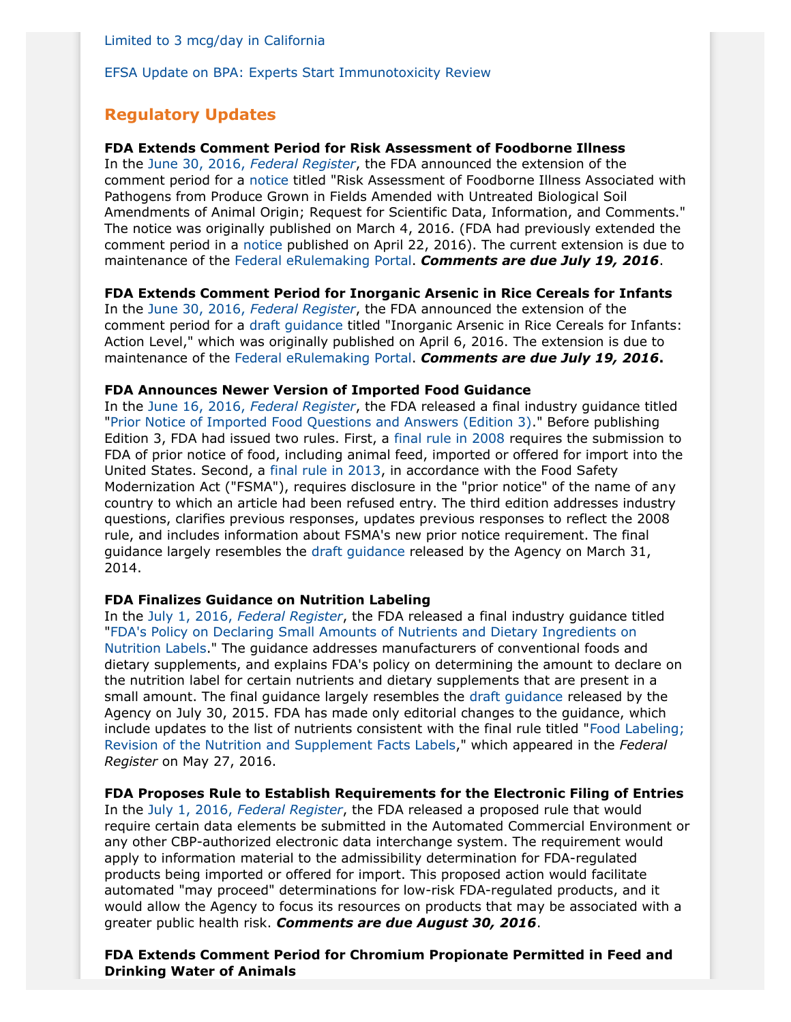[Limited to 3 mcg/day in California](http://oehha.ca.gov/proposition-65/crnr/amendment-section-25805-maximum-allowable-dose-level-bisphenol-dermal-exposure)

[EFSA Update on BPA: Experts Start Immunotoxicity Review](http://www.efsa.europa.eu/en/press/news/160620)

# **Regulatory Updates**

#### **FDA Extends Comment Period for Risk Assessment of Foodborne Illness**

In the June 30, 2016, *[Federal Register](https://www.gpo.gov/fdsys/pkg/FR-2016-06-30/pdf/2016-15480.pdf)*, the FDA announced the extension of the comment period for a [notice](https://www.gpo.gov/fdsys/pkg/FR-2016-03-04/pdf/2016-04712.pdf) titled "Risk Assessment of Foodborne Illness Associated with Pathogens from Produce Grown in Fields Amended with Untreated Biological Soil Amendments of Animal Origin; Request for Scientific Data, Information, and Comments." The notice was originally published on March 4, 2016. (FDA had previously extended the comment period in a [notice](https://www.gpo.gov/fdsys/pkg/FR-2016-04-22/pdf/2016-09367.pdf) published on April 22, 2016). The current extension is due to maintenance of the [Federal eRulemaking Portal.](https://www.regulations.gov/) *Comments are due July 19, 2016*.

#### **FDA Extends Comment Period for Inorganic Arsenic in Rice Cereals for Infants**

In the June 30, 2016, *[Federal Register](https://www.gpo.gov/fdsys/pkg/FR-2016-06-30/pdf/2016-15478.pdf)*, the FDA announced the extension of the comment period for a [draft guidance](http://www.fda.gov/downloads/Food/GuidanceRegulation/GuidanceDocumentsRegulatoryInformation/UCM493152.pdf) titled "Inorganic Arsenic in Rice Cereals for Infants: Action Level," which was originally published on April 6, 2016. The extension is due to maintenance of the [Federal eRulemaking Portal.](https://www.regulations.gov/) *Comments are due July 19, 2016***.**

#### **FDA Announces Newer Version of Imported Food Guidance**

In the June 16, 2016, *[Federal Register](https://www.gpo.gov/fdsys/pkg/FR-2016-06-16/pdf/2016-14231.pdf)*, the FDA released a final industry guidance titled ["Prior Notice of Imported Food Questions and Answers \(Edition 3\).](http://www.fda.gov/downloads/Food/GuidanceRegulation/GuidanceDocumentsRegulatoryInformation/UCM505851.pdf)" Before publishing Edition 3, FDA had issued two rules. First, a [final rule in 2008](https://www.gpo.gov/fdsys/pkg/FR-2008-11-07/pdf/E8-26282.pdf) requires the submission to FDA of prior notice of food, including animal feed, imported or offered for import into the United States. Second, a [final rule in 2013,](https://www.gpo.gov/fdsys/pkg/FR-2013-05-30/pdf/2013-12833.pdf) in accordance with the Food Safety Modernization Act ("FSMA"), requires disclosure in the "prior notice" of the name of any country to which an article had been refused entry. The third edition addresses industry questions, clarifies previous responses, updates previous responses to reflect the 2008 rule, and includes information about FSMA's new prior notice requirement. The final guidance largely resembles the [draft guidance](https://www.gpo.gov/fdsys/pkg/FR-2014-03-31/pdf/2014-07046.pdf) released by the Agency on March 31, 2014.

#### **FDA Finalizes Guidance on Nutrition Labeling**

In the July 1, 2016, *[Federal Register](https://www.gpo.gov/fdsys/pkg/FR-2016-07-01/pdf/2016-15477.pdf)*, the FDA released a final industry guidance titled ["FDA's Policy on Declaring Small Amounts of Nutrients and Dietary Ingredients on](http://www.fda.gov/downloads/Food/GuidanceRegulation/GuidanceDocumentsRegulatoryInformation/UCM507896.pdf) [Nutrition Labels.](http://www.fda.gov/downloads/Food/GuidanceRegulation/GuidanceDocumentsRegulatoryInformation/UCM507896.pdf)" The guidance addresses manufacturers of conventional foods and dietary supplements, and explains FDA's policy on determining the amount to declare on the nutrition label for certain nutrients and dietary supplements that are present in a small amount. The final guidance largely resembles the [draft guidance](https://www.gpo.gov/fdsys/pkg/FR-2015-07-30/pdf/2015-18655.pdf) released by the Agency on July 30, 2015. FDA has made only editorial changes to the guidance, which include updates to the list of nutrients consistent with the final rule titled "[Food Labeling;](https://www.gpo.gov/fdsys/pkg/FR-2016-05-27/pdf/2016-11867.pdf) [Revision of the Nutrition and Supplement Facts Labels,](https://www.gpo.gov/fdsys/pkg/FR-2016-05-27/pdf/2016-11867.pdf)" which appeared in the *Federal Register* on May 27, 2016.

#### **FDA Proposes Rule to Establish Requirements for the Electronic Filing of Entries**

In the July 1, 2016, *[Federal Register](https://www.gpo.gov/fdsys/pkg/FR-2016-07-01/pdf/2016-15684.pdf)*, the FDA released a proposed rule that would require certain data elements be submitted in the Automated Commercial Environment or any other CBP-authorized electronic data interchange system. The requirement would apply to information material to the admissibility determination for FDA-regulated products being imported or offered for import. This proposed action would facilitate automated "may proceed" determinations for low-risk FDA-regulated products, and it would allow the Agency to focus its resources on products that may be associated with a greater public health risk. *Comments are due August 30, 2016*.

**FDA Extends Comment Period for Chromium Propionate Permitted in Feed and Drinking Water of Animals**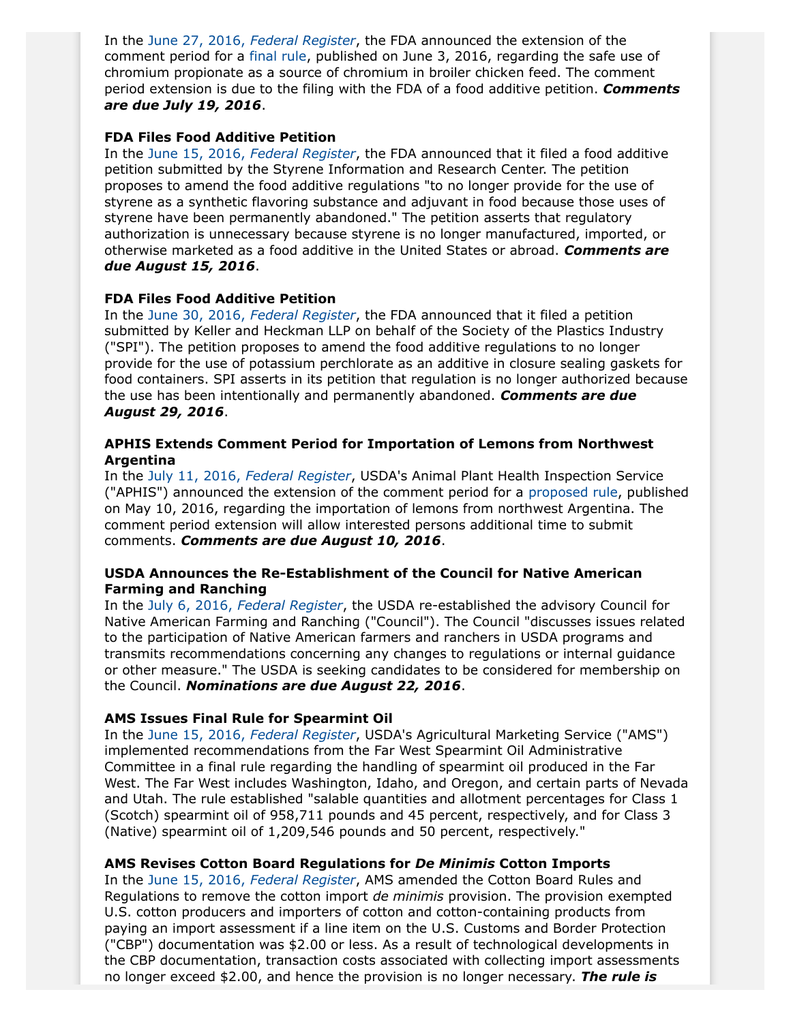In the June 27, 2016, *[Federal Register](https://www.gpo.gov/fdsys/pkg/FR-2016-06-27/pdf/2016-14932.pdf)*, the FDA announced the extension of the comment period for a [final rule](https://www.gpo.gov/fdsys/pkg/FR-2016-06-03/pdf/2016-13082.pdf), published on June 3, 2016, regarding the safe use of chromium propionate as a source of chromium in broiler chicken feed. The comment period extension is due to the filing with the FDA of a food additive petition. *Comments are due July 19, 2016*.

#### **FDA Files Food Additive Petition**

In the June 15, 2016, *[Federal Register](https://www.gpo.gov/fdsys/pkg/FR-2016-06-15/pdf/2016-14107.pdf)*, the FDA announced that it filed a food additive petition submitted by the Styrene Information and Research Center. The petition proposes to amend the food additive regulations "to no longer provide for the use of styrene as a synthetic flavoring substance and adjuvant in food because those uses of styrene have been permanently abandoned." The petition asserts that regulatory authorization is unnecessary because styrene is no longer manufactured, imported, or otherwise marketed as a food additive in the United States or abroad. *Comments are due August 15, 2016*.

#### **FDA Files Food Additive Petition**

In the June 30, 2016, *[Federal Register](https://www.gpo.gov/fdsys/pkg/FR-2016-06-30/pdf/2016-15474.pdf)*, the FDA announced that it filed a petition submitted by Keller and Heckman LLP on behalf of the Society of the Plastics Industry ("SPI"). The petition proposes to amend the food additive regulations to no longer provide for the use of potassium perchlorate as an additive in closure sealing gaskets for food containers. SPI asserts in its petition that regulation is no longer authorized because the use has been intentionally and permanently abandoned. *Comments are due August 29, 2016*.

## **APHIS Extends Comment Period for Importation of Lemons from Northwest Argentina**

In the July 11, 2016, *[Federal Register](https://www.gpo.gov/fdsys/pkg/FR-2016-07-11/pdf/2016-16363.pdf)*, USDA's Animal Plant Health Inspection Service ("APHIS") announced the extension of the comment period for a [proposed rule](https://www.gpo.gov/fdsys/pkg/FR-2016-05-10/pdf/2016-10957.pdf), published on May 10, 2016, regarding the importation of lemons from northwest Argentina. The comment period extension will allow interested persons additional time to submit comments. *Comments are due August 10, 2016*.

## **USDA Announces the Re-Establishment of the Council for Native American Farming and Ranching**

In the July 6, 2016, *[Federal Register](https://www.gpo.gov/fdsys/pkg/FR-2016-07-06/pdf/2016-16099.pdf)*, the USDA re-established the advisory Council for Native American Farming and Ranching ("Council"). The Council "discusses issues related to the participation of Native American farmers and ranchers in USDA programs and transmits recommendations concerning any changes to regulations or internal guidance or other measure." The USDA is seeking candidates to be considered for membership on the Council. *Nominations are due August 22, 2016*.

## **AMS Issues Final Rule for Spearmint Oil**

In the June 15, 2016, *[Federal Register](https://www.gpo.gov/fdsys/pkg/FR-2016-06-15/pdf/2016-14163.pdf)*, USDA's Agricultural Marketing Service ("AMS") implemented recommendations from the Far West Spearmint Oil Administrative Committee in a final rule regarding the handling of spearmint oil produced in the Far West. The Far West includes Washington, Idaho, and Oregon, and certain parts of Nevada and Utah. The rule established "salable quantities and allotment percentages for Class 1 (Scotch) spearmint oil of 958,711 pounds and 45 percent, respectively, and for Class 3 (Native) spearmint oil of 1,209,546 pounds and 50 percent, respectively."

## **AMS Revises Cotton Board Regulations for** *De Minimis* **Cotton Imports**

In the June 15, 2016, *[Federal Register](https://www.gpo.gov/fdsys/pkg/FR-2016-06-15/pdf/2016-14174.pdf)*, AMS amended the Cotton Board Rules and Regulations to remove the cotton import *de minimis* provision. The provision exempted U.S. cotton producers and importers of cotton and cotton-containing products from paying an import assessment if a line item on the U.S. Customs and Border Protection ("CBP") documentation was \$2.00 or less. As a result of technological developments in the CBP documentation, transaction costs associated with collecting import assessments no longer exceed \$2.00, and hence the provision is no longer necessary. *The rule is*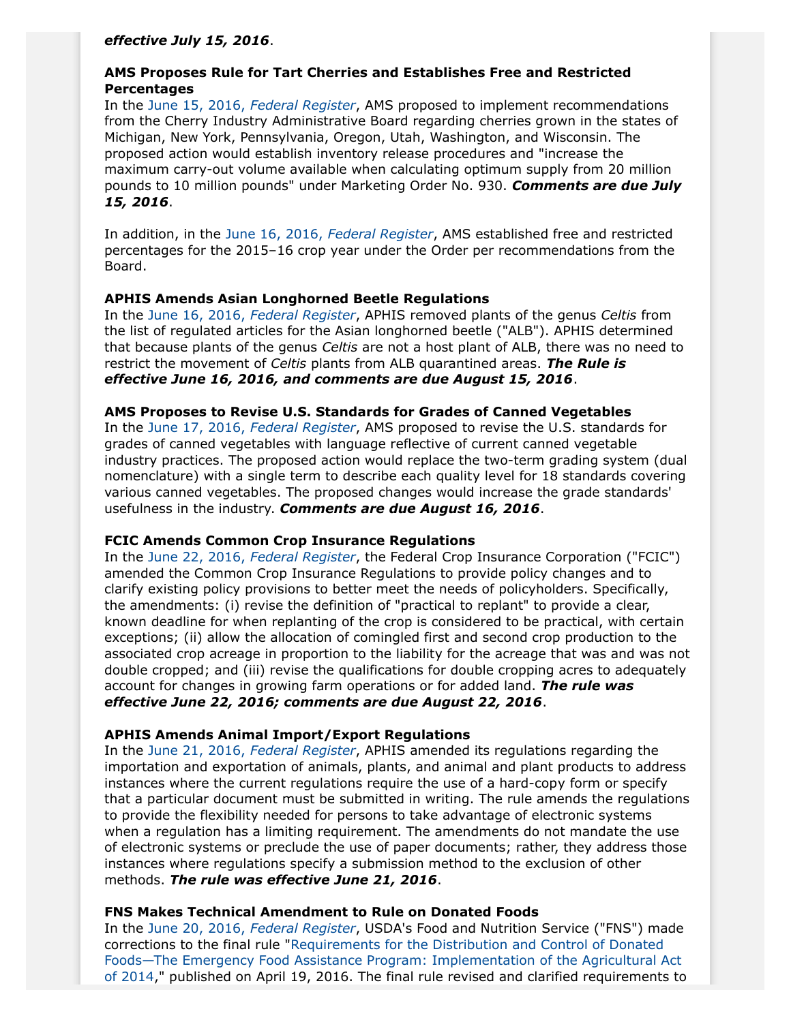*effective July 15, 2016*.

## **AMS Proposes Rule for Tart Cherries and Establishes Free and Restricted Percentages**

In the June 15, 2016, *[Federal Register](https://www.gpo.gov/fdsys/pkg/FR-2016-06-15/pdf/2016-14173.pdf)*, AMS proposed to implement recommendations from the Cherry Industry Administrative Board regarding cherries grown in the states of Michigan, New York, Pennsylvania, Oregon, Utah, Washington, and Wisconsin. The proposed action would establish inventory release procedures and "increase the maximum carry-out volume available when calculating optimum supply from 20 million pounds to 10 million pounds" under Marketing Order No. 930. *Comments are due July 15, 2016*.

In addition, in the June 16, 2016, *[Federal Register](https://www.gpo.gov/fdsys/pkg/FR-2016-06-16/pdf/2016-14333.pdf)*, AMS established free and restricted percentages for the 2015–16 crop year under the Order per recommendations from the Board.

#### **APHIS Amends Asian Longhorned Beetle Regulations**

In the June 16, 2016, *[Federal Register](https://www.gpo.gov/fdsys/pkg/FR-2016-06-16/pdf/2016-14248.pdf)*, APHIS removed plants of the genus *Celtis* from the list of regulated articles for the Asian longhorned beetle ("ALB"). APHIS determined that because plants of the genus *Celtis* are not a host plant of ALB, there was no need to restrict the movement of *Celtis* plants from ALB quarantined areas. *The Rule is effective June 16, 2016, and comments are due August 15, 2016*.

#### **AMS Proposes to Revise U.S. Standards for Grades of Canned Vegetables**

In the June 17, 2016, *[Federal Register](https://www.gpo.gov/fdsys/pkg/FR-2016-06-17/pdf/2016-14332.pdf)*, AMS proposed to revise the U.S. standards for grades of canned vegetables with language reflective of current canned vegetable industry practices. The proposed action would replace the two-term grading system (dual nomenclature) with a single term to describe each quality level for 18 standards covering various canned vegetables. The proposed changes would increase the grade standards' usefulness in the industry. *Comments are due August 16, 2016*.

#### **FCIC Amends Common Crop Insurance Regulations**

In the June 22, 2016, *[Federal Register](https://www.gpo.gov/fdsys/pkg/FR-2016-06-22/pdf/2016-14735.pdf)*, the Federal Crop Insurance Corporation ("FCIC") amended the Common Crop Insurance Regulations to provide policy changes and to clarify existing policy provisions to better meet the needs of policyholders. Specifically, the amendments: (i) revise the definition of "practical to replant" to provide a clear, known deadline for when replanting of the crop is considered to be practical, with certain exceptions; (ii) allow the allocation of comingled first and second crop production to the associated crop acreage in proportion to the liability for the acreage that was and was not double cropped; and (iii) revise the qualifications for double cropping acres to adequately account for changes in growing farm operations or for added land. *The rule was effective June 22, 2016; comments are due August 22, 2016*.

## **APHIS Amends Animal Import/Export Regulations**

In the June 21, 2016, *[Federal Register](https://www.gpo.gov/fdsys/pkg/FR-2016-06-21/pdf/2016-14616.pdf)*, APHIS amended its regulations regarding the importation and exportation of animals, plants, and animal and plant products to address instances where the current regulations require the use of a hard-copy form or specify that a particular document must be submitted in writing. The rule amends the regulations to provide the flexibility needed for persons to take advantage of electronic systems when a regulation has a limiting requirement. The amendments do not mandate the use of electronic systems or preclude the use of paper documents; rather, they address those instances where regulations specify a submission method to the exclusion of other methods. *The rule was effective June 21, 2016*.

#### **FNS Makes Technical Amendment to Rule on Donated Foods**

In the June 20, 2016, *[Federal Register](https://www.gpo.gov/fdsys/pkg/FR-2016-06-20/pdf/2016-14498.pdf)*, USDA's Food and Nutrition Service ("FNS") made corrections to the final rule "[Requirements for the Distribution and Control of Donated](https://www.gpo.gov/fdsys/pkg/FR-2016-04-19/pdf/2016-08639.pdfhttps:/www.gpo.gov/fdsys/pkg/FR-2016-04-19/pdf/2016-08639.pdf) [Foods—The Emergency Food Assistance Program: Implementation of the Agricultural Act](https://www.gpo.gov/fdsys/pkg/FR-2016-04-19/pdf/2016-08639.pdfhttps:/www.gpo.gov/fdsys/pkg/FR-2016-04-19/pdf/2016-08639.pdf) [of 2014](https://www.gpo.gov/fdsys/pkg/FR-2016-04-19/pdf/2016-08639.pdfhttps:/www.gpo.gov/fdsys/pkg/FR-2016-04-19/pdf/2016-08639.pdf)," published on April 19, 2016. The final rule revised and clarified requirements to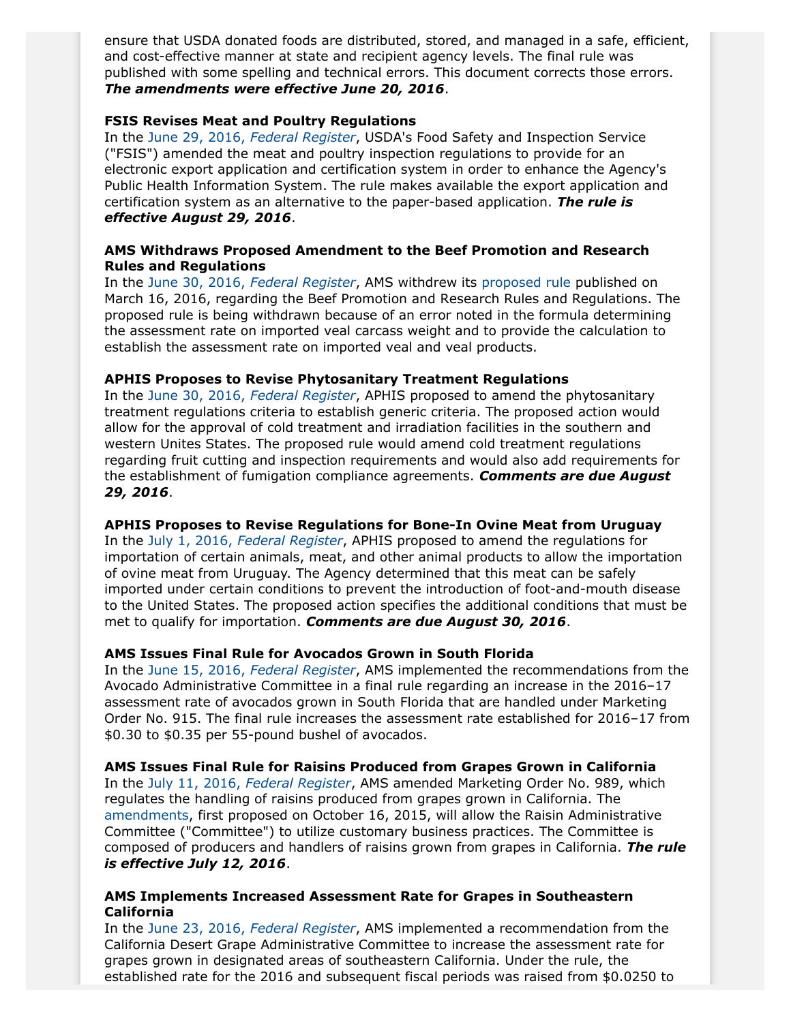ensure that USDA donated foods are distributed, stored, and managed in a safe, efficient, and cost-effective manner at state and recipient agency levels. The final rule was published with some spelling and technical errors. This document corrects those errors. *The amendments were effective June 20, 2016*.

## **FSIS Revises Meat and Poultry Regulations**

In the June 29, 2016, *[Federal Register](https://www.gpo.gov/fdsys/pkg/FR-2016-06-29/pdf/2016-14812.pdf)*, USDA's Food Safety and Inspection Service ("FSIS") amended the meat and poultry inspection regulations to provide for an electronic export application and certification system in order to enhance the Agency's Public Health Information System. The rule makes available the export application and certification system as an alternative to the paper-based application. *The rule is effective August 29, 2016*.

## **AMS Withdraws Proposed Amendment to the Beef Promotion and Research Rules and Regulations**

In the June 30, 2016, *[Federal Register](https://www.gpo.gov/fdsys/pkg/FR-2016-06-30/pdf/2016-14823.pdf)*, AMS withdrew its [proposed rule](https://www.gpo.gov/fdsys/pkg/FR-2016-03-16/pdf/2016-05859.pdf) published on March 16, 2016, regarding the Beef Promotion and Research Rules and Regulations. The proposed rule is being withdrawn because of an error noted in the formula determining the assessment rate on imported veal carcass weight and to provide the calculation to establish the assessment rate on imported veal and veal products.

## **APHIS Proposes to Revise Phytosanitary Treatment Regulations**

In the June 30, 2016, *[Federal Register](https://www.gpo.gov/fdsys/pkg/FR-2016-06-30/pdf/2016-15568.pdf)*, APHIS proposed to amend the phytosanitary treatment regulations criteria to establish generic criteria. The proposed action would allow for the approval of cold treatment and irradiation facilities in the southern and western Unites States. The proposed rule would amend cold treatment regulations regarding fruit cutting and inspection requirements and would also add requirements for the establishment of fumigation compliance agreements. *Comments are due August 29, 2016*.

## **APHIS Proposes to Revise Regulations for Bone-In Ovine Meat from Uruguay**

In the July 1, 2016, *[Federal Register](https://www.gpo.gov/fdsys/pkg/FR-2016-07-01/pdf/2016-15625.pdf)*, APHIS proposed to amend the regulations for importation of certain animals, meat, and other animal products to allow the importation of ovine meat from Uruguay. The Agency determined that this meat can be safely imported under certain conditions to prevent the introduction of foot-and-mouth disease to the United States. The proposed action specifies the additional conditions that must be met to qualify for importation. *Comments are due August 30, 2016*.

## **AMS Issues Final Rule for Avocados Grown in South Florida**

In the June 15, 2016, *[Federal Register](https://www.gpo.gov/fdsys/pkg/FR-2016-06-15/pdf/2016-14149.pdf)*, AMS implemented the recommendations from the Avocado Administrative Committee in a final rule regarding an increase in the 2016–17 assessment rate of avocados grown in South Florida that are handled under Marketing Order No. 915. The final rule increases the assessment rate established for 2016–17 from \$0.30 to \$0.35 per 55-pound bushel of avocados.

**AMS Issues Final Rule for Raisins Produced from Grapes Grown in California** In the July 11, 2016, *[Federal Register](https://www.gpo.gov/fdsys/pkg/FR-2016-07-11/pdf/2016-16335.pdf)*, AMS amended Marketing Order No. 989, which regulates the handling of raisins produced from grapes grown in California. The [amendments](https://www.gpo.gov/fdsys/pkg/FR-2015-10-16/pdf/2015-26378.pdf), first proposed on October 16, 2015, will allow the Raisin Administrative Committee ("Committee") to utilize customary business practices. The Committee is composed of producers and handlers of raisins grown from grapes in California. *The rule is effective July 12, 2016*.

#### **AMS Implements Increased Assessment Rate for Grapes in Southeastern California**

In the June 23, 2016, *[Federal Register](https://www.gpo.gov/fdsys/pkg/FR-2016-06-23/pdf/2016-14824.pdf)*, AMS implemented a recommendation from the California Desert Grape Administrative Committee to increase the assessment rate for grapes grown in designated areas of southeastern California. Under the rule, the established rate for the 2016 and subsequent fiscal periods was raised from \$0.0250 to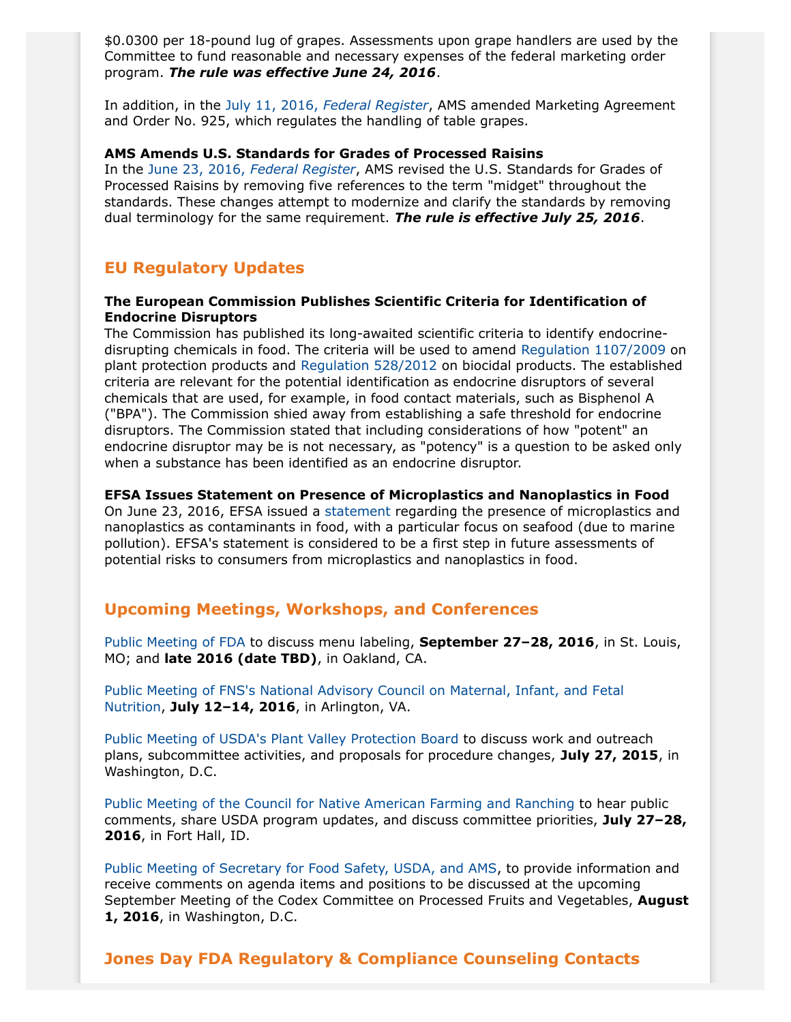\$0.0300 per 18-pound lug of grapes. Assessments upon grape handlers are used by the Committee to fund reasonable and necessary expenses of the federal marketing order program. *The rule was effective June 24, 2016*.

In addition, in the July 11, 2016, *[Federal Register](https://www.gpo.gov/fdsys/pkg/FR-2016-07-11/pdf/2016-16330.pdf)*, AMS amended Marketing Agreement and Order No. 925, which regulates the handling of table grapes.

#### **AMS Amends U.S. Standards for Grades of Processed Raisins**

In the June 23, 2016, *[Federal Register](https://www.gpo.gov/fdsys/pkg/FR-2016-06-23/pdf/2016-14821.pdf)*, AMS revised the U.S. Standards for Grades of Processed Raisins by removing five references to the term "midget" throughout the standards. These changes attempt to modernize and clarify the standards by removing dual terminology for the same requirement. *The rule is effective July 25, 2016*.

# **EU Regulatory Updates**

#### **The European Commission Publishes Scientific Criteria for Identification of Endocrine Disruptors**

The Commission has published its long-awaited scientific criteria to identify endocrinedisrupting chemicals in food. The criteria will be used to amend [Regulation 1107/2009](http://ec.europa.eu/health/endocrine_disruptors/docs/2016_pppcriteria_en.pdf) on plant protection products and [Regulation 528/2012](http://ec.europa.eu/health/endocrine_disruptors/docs/2016_bpcriteria_en.pdf) on biocidal products. The established criteria are relevant for the potential identification as endocrine disruptors of several chemicals that are used, for example, in food contact materials, such as Bisphenol A ("BPA"). The Commission shied away from establishing a safe threshold for endocrine disruptors. The Commission stated that including considerations of how "potent" an endocrine disruptor may be is not necessary, as "potency" is a question to be asked only when a substance has been identified as an endocrine disruptor.

#### **EFSA Issues Statement on Presence of Microplastics and Nanoplastics in Food**

On June 23, 2016, EFSA issued a [statement](http://www.efsa.europa.eu/en/efsajournal/pub/4501) regarding the presence of microplastics and nanoplastics as contaminants in food, with a particular focus on seafood (due to marine pollution). EFSA's statement is considered to be a first step in future assessments of potential risks to consumers from microplastics and nanoplastics in food.

## **Upcoming Meetings, Workshops, and Conferences**

[Public Meeting of FDA](http://www.fda.gov/Food/NewsEvents/ConstituentUpdates/ucm506247.htm) to discuss menu labeling, **September 27–28, 2016**, in St. Louis, MO; and **late 2016 (date TBD)**, in Oakland, CA.

[Public Meeting of FNS's National Advisory Council on Maternal, Infant, and Fetal](https://www.gpo.gov/fdsys/pkg/FR-2016-06-10/pdf/2016-13703.pdf) [Nutrition,](https://www.gpo.gov/fdsys/pkg/FR-2016-06-10/pdf/2016-13703.pdf) **July 12–14, 2016**, in Arlington, VA.

[Public Meeting of USDA's Plant Valley Protection Board](https://www.gpo.gov/fdsys/pkg/FR-2016-06-15/pdf/2016-14164.pdf) to discuss work and outreach plans, subcommittee activities, and proposals for procedure changes, **July 27, 2015**, in Washington, D.C.

[Public Meeting of the Council for Native American Farming and Ranching](https://www.gpo.gov/fdsys/pkg/FR-2016-07-11/pdf/2016-16320.pdf) to hear public comments, share USDA program updates, and discuss committee priorities, **July 27–28, 2016**, in Fort Hall, ID.

[Public Meeting of Secretary for Food Safety, USDA, and AMS,](https://www.gpo.gov/fdsys/pkg/FR-2016-06-30/pdf/2016-15599.pdf) to provide information and receive comments on agenda items and positions to be discussed at the upcoming September Meeting of the Codex Committee on Processed Fruits and Vegetables, **August 1, 2016**, in Washington, D.C.

# <span id="page-7-0"></span>**Jones Day FDA Regulatory & Compliance Counseling Contacts**